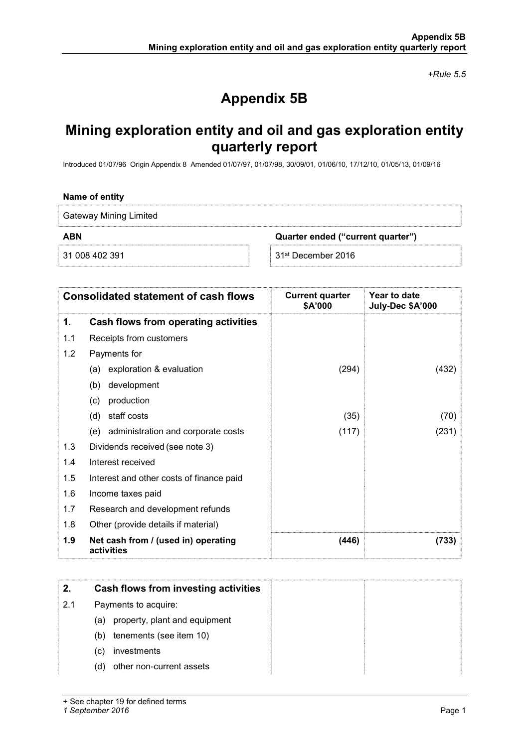+Rule 5.5

# Appendix 5B

## Mining exploration entity and oil and gas exploration entity quarterly report

Introduced 01/07/96 Origin Appendix 8 Amended 01/07/97, 01/07/98, 30/09/01, 01/06/10, 17/12/10, 01/05/13, 01/09/16

#### Name of entity

Gateway Mining Limited

ABN Quarter ended ("current quarter")

31 008 402 391 31st December 2016

| <b>Consolidated statement of cash flows</b> |                                                   | <b>Current quarter</b><br>\$A'000 | Year to date<br>July-Dec \$A'000 |
|---------------------------------------------|---------------------------------------------------|-----------------------------------|----------------------------------|
| 1.                                          | Cash flows from operating activities              |                                   |                                  |
| 1.1                                         | Receipts from customers                           |                                   |                                  |
| 1.2                                         | Payments for                                      |                                   |                                  |
|                                             | exploration & evaluation<br>(a)                   | (294)                             | (432)                            |
|                                             | development<br>(b)                                |                                   |                                  |
|                                             | production<br>(c)                                 |                                   |                                  |
|                                             | staff costs<br>(d)                                | (35)                              | (70)                             |
|                                             | (e) administration and corporate costs            | (117)                             | (231)                            |
| 1.3                                         | Dividends received (see note 3)                   |                                   |                                  |
| 1.4                                         | Interest received                                 |                                   |                                  |
| 1.5                                         | Interest and other costs of finance paid          |                                   |                                  |
| 1.6                                         | Income taxes paid                                 |                                   |                                  |
| 1.7                                         | Research and development refunds                  |                                   |                                  |
| 1.8                                         | Other (provide details if material)               |                                   |                                  |
| 1.9                                         | Net cash from / (used in) operating<br>activities | (446)                             | (733)                            |

| 2.  | Cash flows from investing activities |  |
|-----|--------------------------------------|--|
| 2.1 | Payments to acquire:                 |  |
|     | property, plant and equipment<br>(a) |  |
|     | tenements (see item 10)<br>(b)       |  |
|     | investments<br>(C)                   |  |
|     | other non-current assets<br>(d)      |  |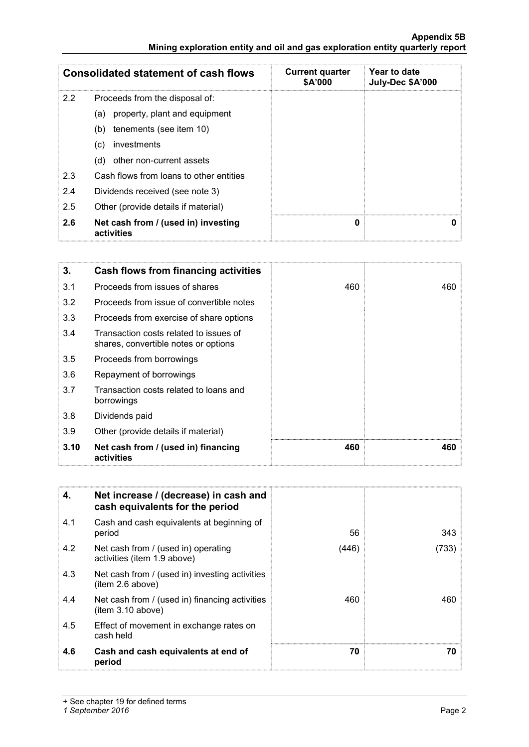### Appendix 5B Mining exploration entity and oil and gas exploration entity quarterly report

| <b>Consolidated statement of cash flows</b> |                                                   | <b>Current quarter</b><br>\$A'000 | Year to date<br>July-Dec \$A'000 |
|---------------------------------------------|---------------------------------------------------|-----------------------------------|----------------------------------|
| 2.2                                         | Proceeds from the disposal of:                    |                                   |                                  |
|                                             | property, plant and equipment<br>(a)              |                                   |                                  |
|                                             | tenements (see item 10)<br>(b)                    |                                   |                                  |
|                                             | investments<br>(c)                                |                                   |                                  |
|                                             | other non-current assets<br>(d)                   |                                   |                                  |
| 2.3                                         | Cash flows from loans to other entities           |                                   |                                  |
| 2.4                                         | Dividends received (see note 3)                   |                                   |                                  |
| 2.5                                         | Other (provide details if material)               |                                   |                                  |
| 2.6                                         | Net cash from / (used in) investing<br>activities | 0                                 | 0                                |

| 3.   | Cash flows from financing activities                                           |     |     |
|------|--------------------------------------------------------------------------------|-----|-----|
| 3.1  | Proceeds from issues of shares                                                 | 460 | 460 |
| 3.2  | Proceeds from issue of convertible notes                                       |     |     |
| 3.3  | Proceeds from exercise of share options                                        |     |     |
| 3.4  | Transaction costs related to issues of<br>shares, convertible notes or options |     |     |
| 3.5  | Proceeds from borrowings                                                       |     |     |
| 3.6  | Repayment of borrowings                                                        |     |     |
| 3.7  | Transaction costs related to loans and<br>borrowings                           |     |     |
| 3.8  | Dividends paid                                                                 |     |     |
| 3.9  | Other (provide details if material)                                            |     |     |
| 3.10 | Net cash from / (used in) financing<br>activities                              | 460 | 460 |

| 4.  | Net increase / (decrease) in cash and<br>cash equivalents for the period |       |       |
|-----|--------------------------------------------------------------------------|-------|-------|
| 4.1 | Cash and cash equivalents at beginning of<br>period                      | 56    | 343   |
| 4.2 | Net cash from / (used in) operating<br>activities (item 1.9 above)       | (446) | (733) |
| 4.3 | Net cash from / (used in) investing activities<br>(item 2.6 above)       |       |       |
| 4.4 | Net cash from / (used in) financing activities<br>(item 3.10 above)      | 460   | 460   |
| 4.5 | Effect of movement in exchange rates on<br>cash held                     |       |       |
| 4.6 | Cash and cash equivalents at end of<br>period                            | 70    | 70    |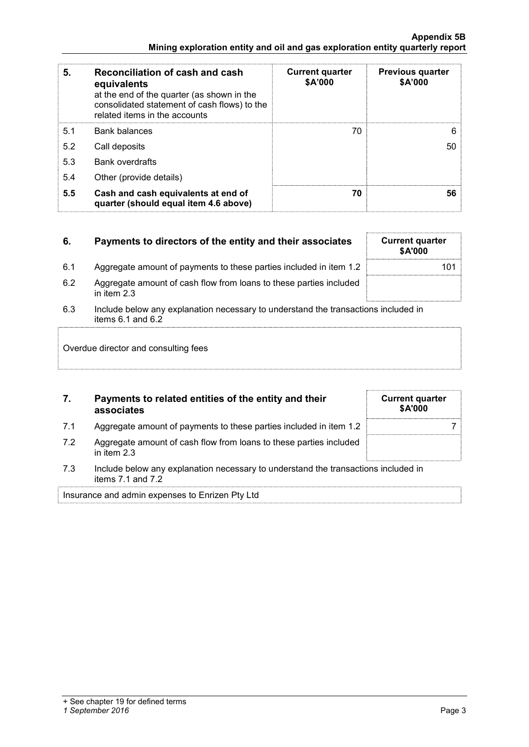| 5.  | Reconciliation of cash and cash<br>equivalents<br>at the end of the quarter (as shown in the<br>consolidated statement of cash flows) to the<br>related items in the accounts | <b>Current quarter</b><br>\$A'000 | <b>Previous quarter</b><br>\$A'000 |
|-----|-------------------------------------------------------------------------------------------------------------------------------------------------------------------------------|-----------------------------------|------------------------------------|
| 5.1 | <b>Bank balances</b>                                                                                                                                                          | 70                                | 6                                  |
| 5.2 | Call deposits                                                                                                                                                                 |                                   | 50                                 |
| 5.3 | <b>Bank overdrafts</b>                                                                                                                                                        |                                   |                                    |
| 5.4 | Other (provide details)                                                                                                                                                       |                                   |                                    |
| 5.5 | Cash and cash equivalents at end of<br>quarter (should equal item 4.6 above)                                                                                                  | 70                                | 56                                 |

## 6. Payments to directors of the entity and their associates Current quarter

- 6.1 Aggregate amount of payments to these parties included in item 1.2 101
- 6.2 Aggregate amount of cash flow from loans to these parties included in item 2.3
- 6.3 Include below any explanation necessary to understand the transactions included in items 6.1 and 6.2

Overdue director and consulting fees

## 7. Payments to related entities of the entity and their associates

- 7.1 Aggregate amount of payments to these parties included in item 1.2 7
- 7.2 Aggregate amount of cash flow from loans to these parties included in item 2.3
- 7.3 Include below any explanation necessary to understand the transactions included in items 7.1 and 7.2

Insurance and admin expenses to Enrizen Pty Ltd

|  | <b>Current quarter</b><br>\$A'000 |  |
|--|-----------------------------------|--|
|  |                                   |  |
|  |                                   |  |
|  |                                   |  |

\$A'000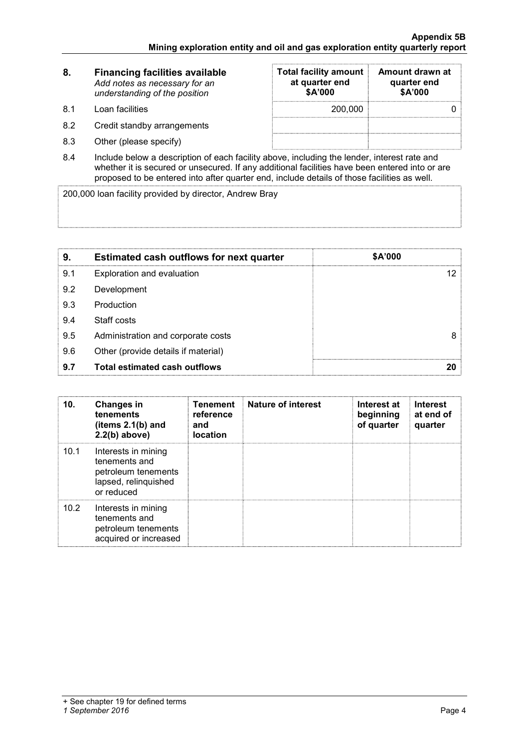| 8.   | <b>Financing facilities available</b><br>Add notes as necessary for an<br>understanding of the position | <b>Total facility amount</b><br>at quarter end<br>\$A'000 | Amount drawn at<br>quarter end<br>\$A'000 |  |
|------|---------------------------------------------------------------------------------------------------------|-----------------------------------------------------------|-------------------------------------------|--|
| -8.1 | Loan facilities                                                                                         | 200,000                                                   |                                           |  |
| 8.2  | Credit standby arrangements                                                                             |                                                           |                                           |  |
| 8.3  | Other (please specify)                                                                                  |                                                           |                                           |  |

8.4 Include below a description of each facility above, including the lender, interest rate and whether it is secured or unsecured. If any additional facilities have been entered into or are proposed to be entered into after quarter end, include details of those facilities as well.

200,000 loan facility provided by director, Andrew Bray

| 9.  | <b>Estimated cash outflows for next quarter</b> | \$A'000 |
|-----|-------------------------------------------------|---------|
| 9.1 | Exploration and evaluation                      |         |
| 9.2 | Development                                     |         |
| 9.3 | Production                                      |         |
| 9.4 | Staff costs                                     |         |
| 9.5 | Administration and corporate costs              | 8       |
| 9.6 | Other (provide details if material)             |         |
| 9.7 | <b>Total estimated cash outflows</b>            |         |

| 10.  | <b>Changes in</b><br>tenements<br>(items $2.1(b)$ and<br>$2.2(b)$ above)                          | <b>Tenement</b><br>reference<br>and<br><b>location</b> | <b>Nature of interest</b> | Interest at<br>beginning<br>of quarter | <b>Interest</b><br>at end of<br>quarter |
|------|---------------------------------------------------------------------------------------------------|--------------------------------------------------------|---------------------------|----------------------------------------|-----------------------------------------|
| 10.1 | Interests in mining<br>tenements and<br>petroleum tenements<br>lapsed, relinquished<br>or reduced |                                                        |                           |                                        |                                         |
| 10.2 | Interests in mining<br>tenements and<br>petroleum tenements<br>acquired or increased              |                                                        |                           |                                        |                                         |